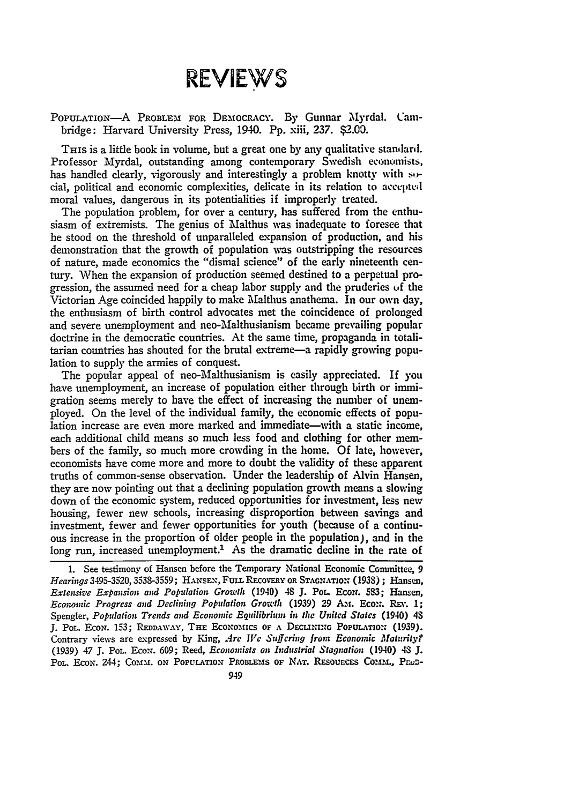# REVIEWS

### POPULATION-A PROBLEM FOR DEMOCRACY. By Gunnar Myrdal. Cambridge: Harvard University Press, 1940. Pp. xiii, 237. **\$2.00.**

THIs is a little book in volume, but a great one **by** any qualitative standard. Professor Myrdal, outstanding among contemporary Swedish economists, has handled clearly, vigorously and interestingly a problem knotty with **su**cial, political and economic complexities, delicate in its relation to accepted moral values, dangerous in its potentialities if improperly treated.

The population problem, for over a century, has suffered from the enthusiasm of extremists. The genius of Malthus was inadequate to foresee that he stood on the threshold of unparalleled expansion of production, and his demonstration that the growth of population was outstripping the resources of nature, made economics the "dismal science" of the early nineteenth century. When the expansion of production seemed destined to a perpetual progression, the assumed need for a cheap labor supply and the pruderies of the Victorian Age coincided happily to make Malthus anathema. In our own day, the enthusiasm of birth control advocates met the coincidence of prolonged and severe unemployment and neo-Malthusianism became prevailing popular doctrine in the democratic countries. At the same time, propaganda in totalitarian countries has shouted for the brutal extreme-a rapidly growing population to supply the armies of conquest.

The popular appeal of neo-Maltlhusianism is easily appreciated. **If** you have unemployment, an increase of population either through birth or immigration seems merely to have the effect of increasing the number of unemployed. On the level of the individual family, the economic effects of population increase are even more marked and immediate-with a static income, each additional child means so much less food and clothing for other members of the family, so much more crowding in the home. Of late, however, economists have come more and more to doubt the validity of these apparent truths of common-sense observation. Under the leadership of Alvin Hansen, they are now pointing out that a declining population growth means a slowing down of the economic system, reduced opportunities for investment, less new housing, fewer new schools, increasing disproportion between savings and investment, fewer and fewer opportunities for youth (because of a continuous increase in the proportion of older people in the population), and in the long run, increased unemployment.<sup>1</sup> As the dramatic decline in the rate of

**<sup>1.</sup>** See testimony of Hansen before the Temporary National Economic Committee, **9** Hearings 3495-3520, 3538-3559; HANSEN, FULL RECOVERY OR STAGNATION (1938); Hansen, *Extensive Expansion and Population Growth* (1940) **48 J. Poi. Econ. 583;** Hansen, *Economic Progress and Declining Population Growth (1939) 29 AM. Eco... REV. 1;* Spengler, *Population Trends and Economic Equilibrium in the United States* (1940) **4S** J. Pol. Econ. 153; REDDAWAY, THE ECONOMICS OF A DECLINING POPULATION (1939). Contrary views **are** expressed **by King,** *Are We Suffering from Economic Maturity?* **(1939) 47 J. POL.** EcoN. **609;** Reed, *Economists on Industrial Stagnation* (1940) 43 **J.** POL. ECON. 244; COMM. ON POPULATION PROBLEMS OF NAT. RESOURCES COMM., PROB-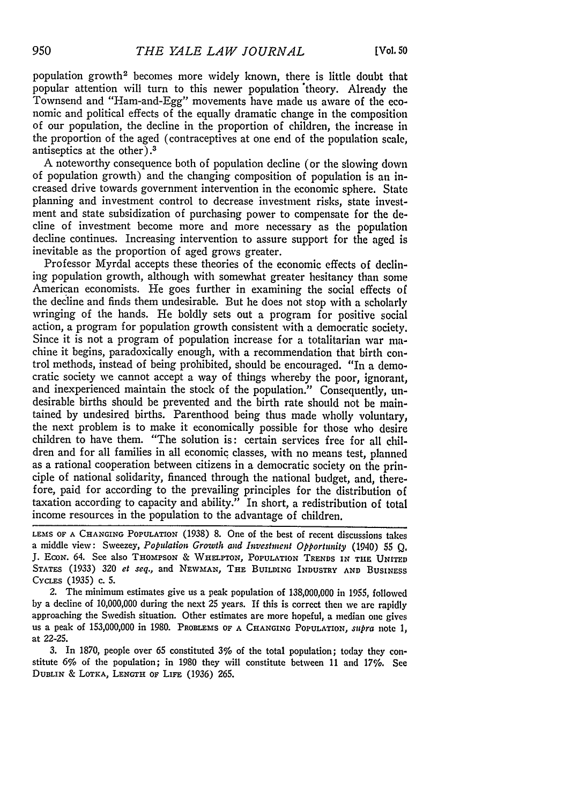population growth2 becomes more widely known, there is little doubt that popular attention will turn to this newer population 'theory. Already the Townsend and "Ham-and-Egg" movements have made us aware of the economic and political effects of the equally dramatic change in the composition of our population, the decline in the proportion of children, the increase in the proportion of the aged (contraceptives at one end of the population scale, antiseptics at the other).3

A noteworthy consequence both of population decline (or the slowing down of population growth) and the changing composition of population is an increased drive towards government intervention in the economic sphere. State planning and investment control to decrease investment risks, state investment and state subsidization of purchasing power to compensate for the decline of investment become more and more necessary as the population decline continues. Increasing intervention to assure support for the aged is inevitable as the proportion of aged grows greater.

Professor Myrdal accepts these theories of the economic effects of declining population growth, although with somewhat greater hesitancy than some American economists. He goes further in examining the social effects of the decline and finds them undesirable. But he does not stop with a scholarly wringing of the hands. He boldly sets out a program for positive social action, a program for population growth consistent with a democratic society. Since it is not a program of population increase for a totalitarian war machine it begins, paradoxically enough, with a recommendation that birth control methods, instead of being prohibited, should be encouraged. "In a democratic society we cannot accept a way of things whereby the poor, ignorant, and inexperienced maintain the stock of the population." Consequently, undesirable births should be prevented and the birth rate should not be maintained by undesired births. Parenthood being thus made wholly voluntary, the next problem is to make it economically possible for those who desire children to have them. "The solution is: certain services free for all children and for all families in all economic classes, with no means test, planned as a rational cooperation between citizens in a democratic society on the principle of national solidarity, financed through the national budget, and, therefore, paid for according to the prevailing principles for the distribution of taxation according to capacity and ability." In short, a redistribution of total income resources in the population to the advantage of children.

**LEMS OF A CHANGING POPULATION** (1938) **8.** One of the best of recent discussions takes a middle view: Sweezey, *Population Growth and Investment Opportunity* (1940) 55 *Q.* **J.** EcoN. 64. **See** also **THOMPSON** & **WHELPTON,** POPULATION **TRENDS IN** TII **UNITED STATES** (1933) 320 *et seq.,* and **NEWMAN, THE** BUILDING INDUSTRY **AND BUSINESS** CYcLEs (1935) c. 5.

2. The minimum estimates give us a peak population of 138,000,000 in 1955, followed by a decline of 10,000,000 during the next 25 years. If this is correct then we are rapidly approaching the Swedish situation. Other estimates are more hopeful, a median one gives us a peak of 153,000,000 in 1980. **PROBLEMS** OF **A CHANGING POPULATION,** *supra* note *1,* at 22-25.

**3.** In **1870,** people over 65 constituted 3% of the total population; today they con**stitute** 6% of the population; in **1980** they will constitute between **11** and 17%. See **DUBLIN** & LOTKA, **LENGTH OF** LIFE (1936) **265.**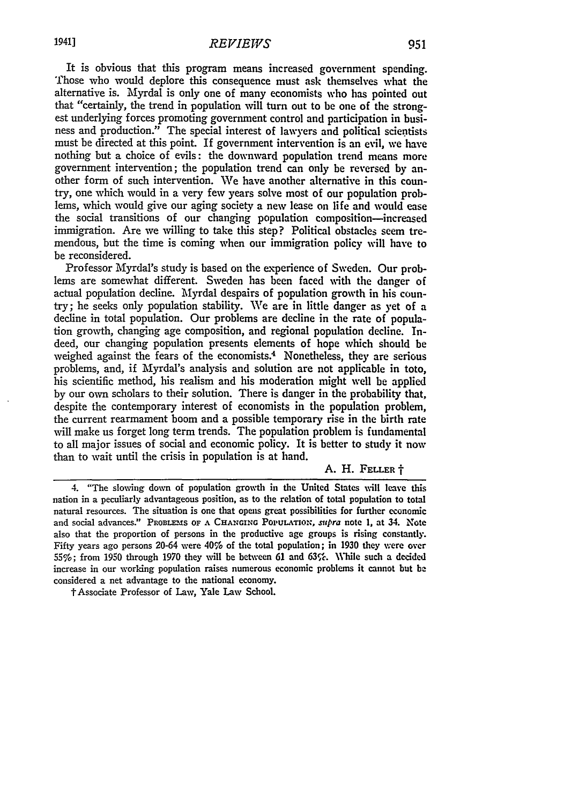It is obvious that this program means increased government spending. Those who would deplore this consequence must ask themselves what the alternative is. Myrdal is only one of many economists who has pointed out that "certainly, the trend in population will turn out to be one of the strongest underlying forces promoting government control and participation in business and production." The special interest of lawyers and political scientists must be directed at this point. If government intervention is an evil, we have nothing but a choice of evils: the downward population trend means more government intervention; the population trend can only be reversed by another form of such intervention. We have another alternative in this country, one which would in a very few years solve most of our population problems, which would give our aging society a new lease on life and would ease the social transitions of our changing population composition-increased immigration. Are we willing to take this step? Political obstacles seem tremendous, but the time is coming when our immigration policy will have to be reconsidered.

Professor Myrdal's study is based on the experience of Sweden. Our problems are somewhat different. Sweden has been faced with the danger of actual population decline. Myrdal despairs of population growth in his country; he seeks only population stability. We are in little danger as yet of a decline in total population. Our problems are decline in the rate of population growth, changing age composition, and regional population decline. Indeed, our changing population presents elements of hope which should be weighed against the fears of the economists.4 Nonetheless, they are serious problems, and, if Myrdal's analysis and solution are not applicable in toto, his scientific method, his realism and his moderation might well **be** applied **by** our own scholars to their solution. There is danger in the probability that, despite the contemporary interest of economists in the population problem, the current rearmament boom and a possible temporary rise in the birth rate will make us forget long term trends. The population problem is fundamental to all major issues of social and economic policy. It is better to study it now than to wait until the crisis in population is at hand.

#### A. H. FELLER  $\dagger$

4. "The slowing down of population growth in the United States will leave this nation in a peculiarly advantageous position, as to the relation of total population to total natural resources. The situation is one that opens great possibilities for further economic and social advances." PROBLEMS OF A CHANGING POPULATION, *supra* note 1, at 34. Note also that the proportion of persons in the productive age groups is rising constantly. Fifty years ago persons 20-64 were 40% of the total population; in 1930 they were over 55%; from 1950 through **1970** they will be between 61 and 63%. While such a decided increase in our working population raises numerous economic problems it cannot but **be** considered a net advantage to the national economy.

- Associate Professor of Law, Yale Law School.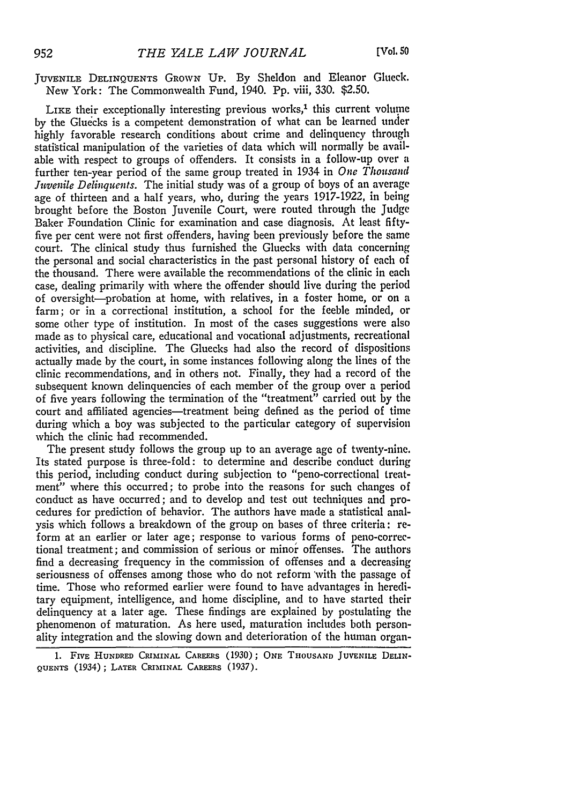## **JUVENILE** DELINQUENTS GROWN Up. By Sheldon and Eleanor Glueck. New York: The Commonwealth Fund, 1940. Pp. viii, 330. \$2.50.

LIKE their exceptionally interesting previous works, $<sup>1</sup>$  this current volume</sup> by the Gluecks is a competent demonstration of what can be learned tinder highly favorable research conditions about crime and delinquency through statistical manipulation of the varieties of data which will normally be available with respect to groups of offenders. It consists in a follow-up over a further ten-year period of the same group treated in 1934 in *One Thousand Juvenile Delinquents.* The initial study was of a group of boys of an average age of thirteen and a half years, who, during the years 1917-1922, in being brought before the Boston Juvenile Court, were routed through the Judge Baker Foundation Clinic for examination and case diagnosis. At least fiftyfive per cent were not first offenders, having been previously before the same court. The clinical study thus furnished the Gluecks with data concerning the personal and social characteristics in the past personal history of each of the thousand. There were available the recommendations of the clinic in each case, dealing primarily with where the offender should live during the period of oversight-probation at home, with relatives, in a foster home, or on a farm; or in a correctional institution, a school for the feeble minded, or some other type of institution. In most of the cases suggestions were also made as to physical care, educational and vocational adjustments, recreational activities, and discipline. The Gluecks had also the record of dispositions actually made by the court, in some instances following along the lines of the clinic recommendations, and in others not. Finally, they had a record of the subsequent known delinquencies of each member of the group over a period of five years following the termination of the "treatment" carried out by the court and affiliated agencies—treatment being defined as the period of time during which a boy was subjected to the particular category of supervision which the clinic had recommended.

The present study follows the group up to an average age of twenty-nine. Its stated purpose is three-fold: to determine and describe conduct during this period, including conduct during subjection to "peno-correctional treatment" where this occurred; to probe into the reasons for such changes of conduct as have occurred; and to develop and test out techniques and procedures for prediction of behavior. The authors have made a statistical analysis which follows a breakdown of the group on bases of three criteria: reform at an earlier or later age; response to various forms of peno-correctional treatment; and commission of serious or minor offenses. The authors find a decreasing frequency in the commission of offenses and a decreasing seriousness of offenses among those who do not reform 'with the passage of time. Those who reformed earlier were found to have advantages in hereditary equipment, intelligence, and home discipline, and to have started their delinquency at a later age. These findings are explained by postulating the phenomenon of maturation. As here used, maturation includes both personality integration and the slowing down and deterioration of the human organ-

<sup>1.</sup> **FIVE HUNDRED CRIMINAL** CAREERS (1930); *ONE* **THOUSAND JUVENILE DELIN-QUENTS** (1934); LATER CRIMINAL CAREERS (1937).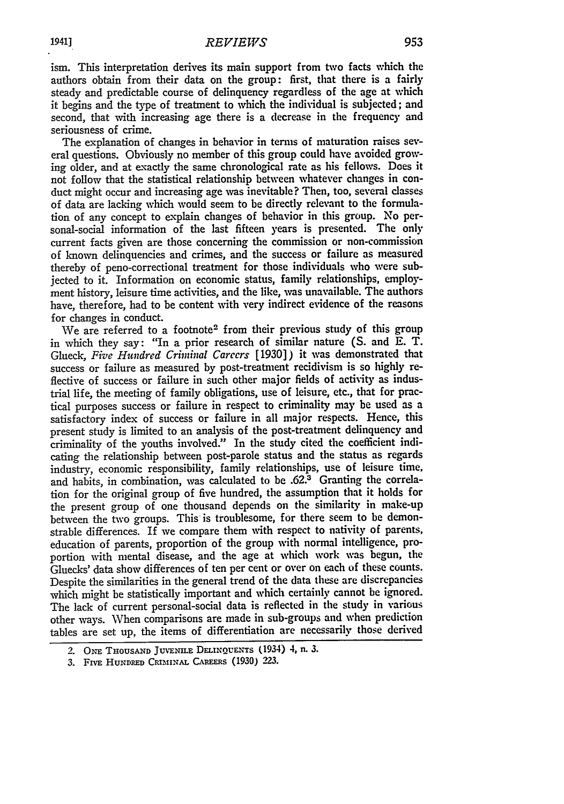ism. This interpretation derives its main support from two facts which the authors obtain from their data on the group: first, that there is a fairly steady and predictable course of delinquency regardless of the age at which it begins and the type of treatment to which the individual is subjected; and second, that with increasing age there is a decrease in the frequency and seriousness of crime.

The explanation of changes in behavior in terms of maturation raises several questions. Obviously no member of this group could have avoided growing older, and at exactly the same chronological rate as his fellows. Does it not follow that the statistical relationship between whatever changes in conduct might occur and increasing age was inevitable? Then, too, several classes of data are lacking which would seem to be directly relevant to the formulation of any concept to explain changes of behavior in this group. No personal-social information of the last fifteen years is presented. The only current facts given are those concerning the commission or non-commission of known delinquencies and crimes, and the success or failure as measured thereby of peno-correctional treatment for those individuals who were subjected to it. Information on economic status, family relationships, employment history, leisure time activities, and the like, was unavailable. The authors have, therefore, had to be content with very indirect evidence of the reasons for changes in conduct.

We are referred to a footnote<sup>2</sup> from their previous study of this group in which they say: "In a prior research of similar nature (S. and **E.** T. Glueck, *Five Hundred Criminal Careers* [1930]) it was demonstrated that success or failure as measured **by** post-treatment recidivism is so **highly** reflective of success or failure in such other major fields of activity as industrial life, the meeting of family obligations, use of leisure, etc., that for practical purposes success or failure in respect to criminality may be used as a satisfactory index of success or failure in all major respects. Hence, this present study is limited to an analysis of the post-treatment delinquency and criminality of the youths involved." In the study cited the coefficient indicating the relationship between post-parole status and the status as regards industry, economic responsibility, family relationships, use of leisure time, and habits, in combination, **was** calculated to be **.62.3** Granting the correlation for the original group of five hundred, the assumption that it holds for the present group of one thousand depends on the similarity in make-up between the two groups. This is troublesome, for there seem to be demonstrable differences. If we compare them with respect to nativity of parents, education of parents, proportion of the group with normal intelligence, proportion with mental disease, and the age at which work was begun, the Gluecks' data show differences of ten per cent or over on each of these counts. Despite the similarities in the general trend of the data these are discrepancies which might be statistically important and which certainly cannot be ignored. The lack of current personal-social data is reflected in the study in various other ways. When comparisons are made in sub-groups and when prediction tables are set **up,** the items of differentiation are necessarily those derived

<sup>2.</sup> ONE **THOUSAND JUVENILE DELINQUENTS** (1934) **4, n. 3.**

<sup>3.</sup> FIVE HUNDRED CRIMINAL CAREERS (1930) 223.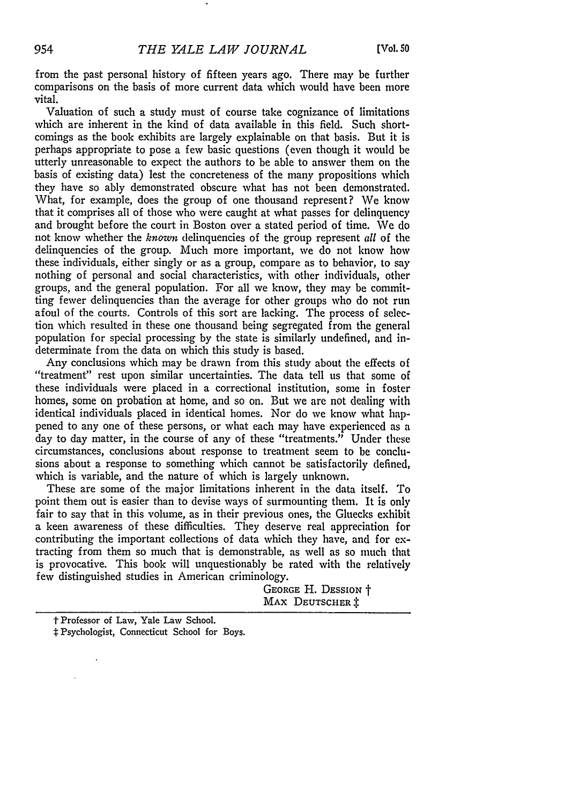from the past personal history of fifteen years ago. There may be further comparisons on the basis of more current data which would have been more vital.

Valuation of such a study must of course take cognizance of limitations which are inherent in the kind of data available in this field. Such shortcomings as the book exhibits are largely explainable on that basis. But it is perhaps appropriate to pose a few basic questions (even though it would be utterly unreasonable to expect the authors to be able to answer them on the basis of existing data) lest the concreteness of the many propositions which they have so ably demonstrated obscure what has not been demonstrated. What, for example, does the group of one thousand represent? We know that it comprises all of those who were caught at what passes for delinquency and brought before the court in Boston over a stated period of time. We do not know whether the *known* delinquencies of the group represent *all* of the delinquencies of the group. Much more important, we do not know how these individuals, either singly or as a group, compare as to behavior, to say nothing of personal and social characteristics, with other individuals, other groups, and the general population. For all we know, they may be committing fewer delinquencies than the average for other groups who do not run afoul of the courts. Controls of this sort are lacking. The process of selection which resulted in these one thousand being segregated from the general population for special processing by the state is similarly undefined, and indeterminate from the data on which this study is based.

Any conclusions which may be drawn from this study about the effects of "treatment" rest upon similar uncertainties. The data tell us that some of these individuals were placed in a correctional institution, some in foster homes, some on probation at home, and so on. But we are not dealing with identical individuals placed in identical homes. Nor do we know what happened to any one of these persons, or what each may have experienced as a day to day matter, in the course of any of these "treatments." Under these circumstances, conclusions about response to treatment seem to be conclusions about a response to something which cannot be satisfactorily defined, which is variable, and the nature of which is largely unknown.

These are some of the major limitations inherent in the data itself. To point them out is easier than to devise ways of surmounting them. It is only fair to say that in this volume, as in their previous ones, the Gluecks exhibit a keen awareness of these difficulties. They deserve real appreciation for contributing the important collections of data which they have, and for extracting from them so much that is demonstrable, as well as so much that is provocative. This book will unquestionably be rated with the relatively few distinguished studies in American criminology.

> **GEORGE** H. **DEssION f** MAX DEUTSCHER İ

*t* Psychologist, Connecticut School for Boys.

t Professor of Law, Yale Law School.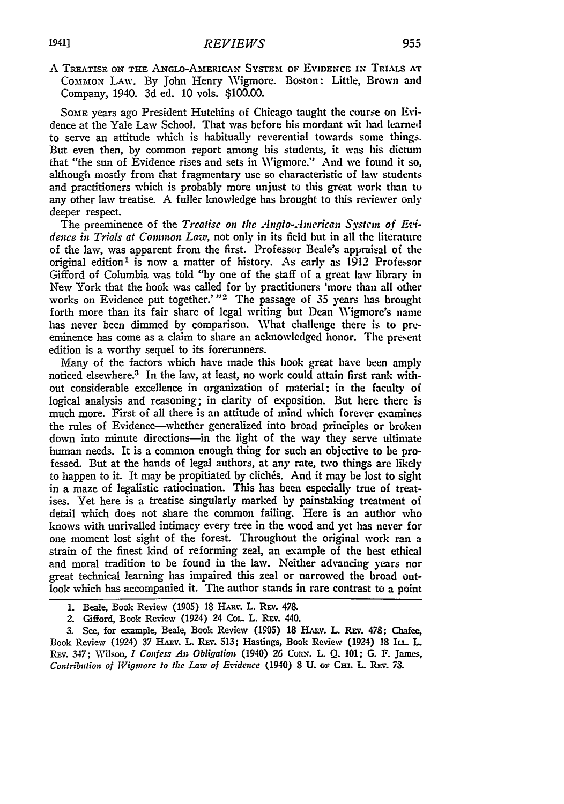A TREATISE ON THE ANGLO-AmERICAN SYSTEM **OF EVIDENCE IN** TIALS AT COMMON LAW. By John Henry Wigmore. Boston: Little, Brown and Company, 1940. 3d ed. 10 vols. \$100.00.

**SOME** years ago President Hutchins of Chicago taught the course on Evidence at the Yale Law School. That was before his mordant wit had learned to serve an attitude which is habitually reverential towards some things. But even then, by common report among his students, it was his dictum that "the sun of Evidence rises and sets in Wigmore." And we found it so, although mostly from that fragmentary use so characteristic of law students and practitioners which is probably more unjust to this great work than to any other law treatise. **A** fuller knowledge has brought to this reviewer only deeper respect.

The preeminence of the *Treatise on the Anglo-American* System of Evi*dence in Trials at Common Law,* not only in its field but in all the literature of the law, was apparent from the first. Professor Beale's appraisal of the original edition<sup>1</sup> is now a matter of history. As early as  $1912$  Professor Gifford of Columbia was told "by one of the staff of a great law library in New York that the book was called for by practitioners 'more than all other works on Evidence put together.' **"2** The passage of 35 years has brought forth more than its fair share of legal writing but Dean Wigmore's name has never been dimmed by comparison. What challenge there is to preeminence has come as a claim to share an acknowledged lonor. The present edition is a worthy sequel to its forerunners.

Many of the factors which have made this book great have been amply noticed elsewhere.3 In the law, at least, no work could attain first rank without considerable excellence in organization of material; in the faculty of logical analysis and reasoning; in clarity of exposition. But here there is much more. First of all there is an attitude of mind which forever examines the rules of Evidence-whether generalized into broad principles or broken down into minute directions-in the light of the way they serve ultimate human needs. It is a common enough thing for such an objective to be professed. But at the hands of legal authors, at any rate, two things are likely to happen to it. It may be propitiated by clichés. And it may be lost to sight in a maze of legalistic ratiocination. This has been especially true of treatises. Yet here is a treatise singularly marked by painstaking treatment of detail which does not share the common failing. Here is an author who knows with unrivalled intimacy every tree in the wood and yet has never for one moment lost sight of the forest. Throughout the original work ran a strain of the finest kind of reforming zeal, an example of the best ethical and moral tradition to be found in the law. Neither advancing years nor great technical learning has impaired this zeal or narrowed the broad outlook which has accompanied it. The author stands in rare contrast to a point

- **1.** Beale, Book Review (1905) **18** HARv. L. REv. 478.
- 2. Gifford, Book Review (1924) 24 **CoL** L. Rzv. 440.

3. See, for example, Beale, Book Review (1905) 18 HARV. L. REV. 478; Chafee, Book Review (1924) 37 HARv. L. REv. 513; Hastings, Book Review (1924) 18 Iu. L REv. 347; Wilson, *I Confess An Obligation* (1940) 26 **Co.** L. Q. 101; G. F. James, *Contribution of Wigmore to the Law of Evidence* t1940) **8 U.** or Cm. L **REv.** 78.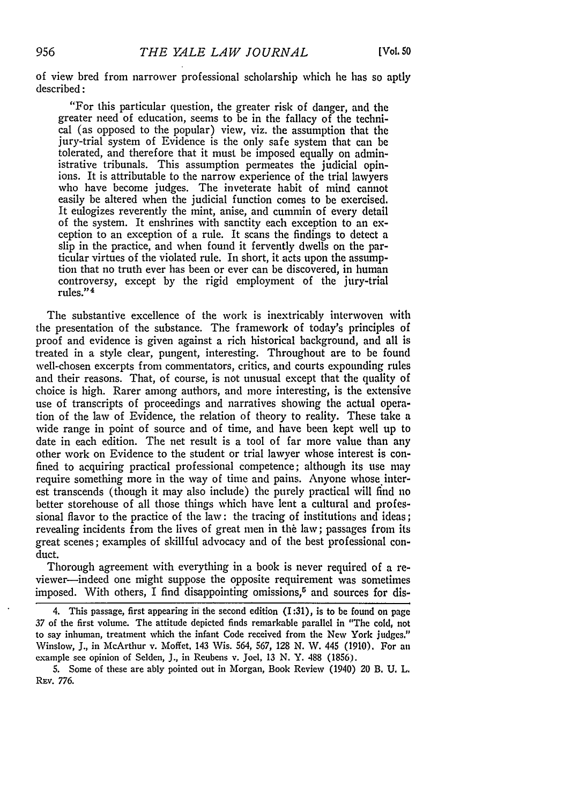of view bred from narrower professional scholarship which he has so aptly described:

"For this particular question, the greater risk of danger, and the greater need of education, seems to be in the fallacy of the technical (as opposed to the popular) view, viz. the assumption that the jury-trial system of Evidence is the only safe system that can be tolerated, and therefore that it must be imposed equally on administrative tribunals. This assumption permeates the judicial opinions. It is attributable to the narrow experience of the trial lawyers who have become judges. The inveterate habit of mind cannot easily be altered when the judicial function comes to be exercised. It eulogizes reverently the mint, anise, and cummin of every detail of the system. It enshrines with sanctity each exception to an exception to an exception of a rule. It scans the findings to detect a slip in the practice, and when found it fervently dwells on the particular virtues of the violated rule. In short, it acts upon the assumption that no truth ever has been or ever can be discovered, in human controversy, except by the rigid employment of the jury-trial rules." **4**

The substantive excellence of the work is inextricably interwoven with the presentation of the substance. The framework of today's principles of proof and evidence is given against a rich historical background, and all is treated in a style clear, pungent, interesting. Throughout are to be found well-chosen excerpts from commentators, critics, and courts expounding rules and their reasons. That, of course, is not unusual except that the quality of choice is high. Rarer among authors, and more interesting, is the extensive use of transcripts of proceedings and narratives showing the actual operation of the law of Evidence, the relation of theory to reality. These take a wide range in point of source and of time, and have been kept well up to date in each edition. The net result is a tool of far more value than any other work on Evidence to the student or trial lawyer whose interest is confined to acquiring practical professional competence; although its use may require something more in the way of time and pains. Anyone whose interest transcends (though it may also include) the purely practical will find no better storehouse of all those things which have lent a cultural and professional flavor to the practice of the law: the tracing of institutions and ideas; revealing incidents from the lives of great men in the law; passages from its great scenes; examples of skillful advocacy and of the best professional conduct.

Thorough agreement with everything in a book is never required of a reviewer-indeed one might suppose the opposite requirement was sometimes imposed. With others, I find disappointing omissions,<sup> $5$ </sup> and sources for dis-

5. Some of these are ably pointed out in Morgan, Book Review (1940) 20 B. **U.** L. RFv. **776.**

<sup>4.</sup> This passage, first appearing in the second edition (1:31), is to be found on page 37 of the first volume. The attitude depicted finds remarkable parallel in "The cold, not to say inhuman, treatment which the infant Code received from the New York judges," Winslow, **J.,** in McArthur v. Moffet, 143 Wis. 564, 567, 128 N. W. 445 (1910). For an example see opinion of Selden, J., in Reubens v. Joel, 13 N. Y. 488 (1856).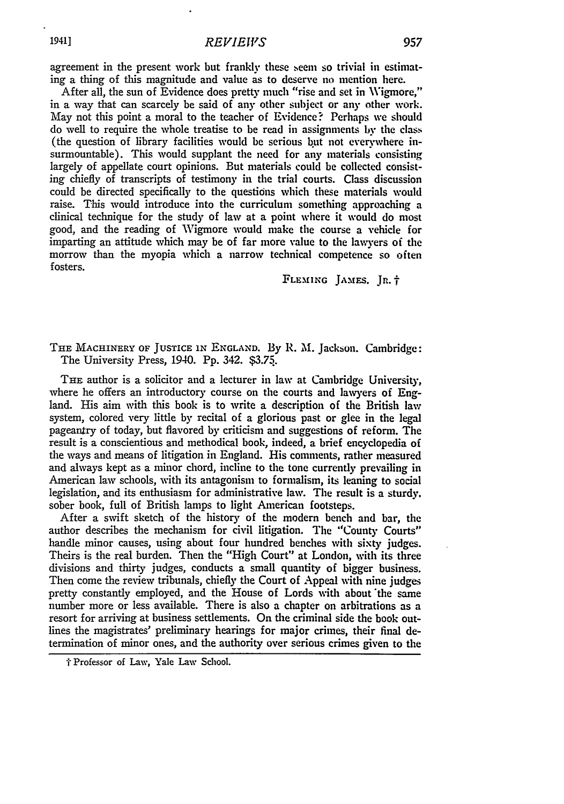agreement in the present work but frankly these seem so trivial in estimating a thing of this magnitude and value as to deserve no mention here.

After all, the sun of Evidence does pretty much "rise and set in Wigmore," in a way that can scarcely be said of any other subject or any other work. May not this point a moral to the teacher of Evidence? Perhaps we should do well to require the whole treatise to be read in assignments **by** the class (the question of library facilities would be serious but not everywhere insurmountable). This would supplant the need for any materials consisting largely of appellate court opinions. But materials could be collected consisting chiefly of transcripts of testimony in the trial courts. Class discussion could be directed specifically to the questions which these materials would raise. This would introduce into the curriculum something approaching a clinical technique for the study of law at a point where it would do most good, and the reading of Wigmore would make the course a vehicle for imparting an attitude which may be of far more value to the lawyers of the morrow than the myopia which a narrow technical competence so often fosters.

**FLEMING JAMES.** JR.

## THE MACHINERY OF JUSTICE **iN ENGLAND.** By R. M. Jackson. Cambridge: The University Press, 1940. Pp. 342. \$3.7j.

THE author is a solicitor and a lecturer in law at Cambridge University, where he offers an introductory course on the courts and lawyers of England. His aim with this book is to write a description of the British law system, colored very little by recital of a glorious past or glee in the legal pageantry of today, but flavored by criticism and suggestions of reform. The result is a conscientious and methodical book, indeed, a brief encyclopedia of the ways and means of litigation in England. His comments, rather measured and always kept as a minor chord, incline to the tone currently prevailing in American law schools, with its antagonism to formalism, its leaning to social legislation, and its enthusiasm for administrative law. The result is a sturdy, sober book, full of British lamps to light American footsteps.

After a swift sketch of the history of the modern bench and bar, the author describes the mechanism for civil litigation. The "County Courts" handle minor causes, using about four hundred benches with sixty judges. Theirs is the real burden. Then the "High Court" at London, with its three divisions and thirty judges, conducts a small quantity of bigger business. Then come the review tribunals, chiefly the Court of Appeal with nine judges pretty constantly employed, and the House of Lords with about "the same number more or less available. There is also a chapter on arbitrations as a resort for arriving at business settlements. On the criminal side the book outlines the magistrates' preliminary hearings for major crimes, their final determination of minor ones, and the authority over serious crimes given to the

19411

<sup>&</sup>quot;Professor of Law, Yale Law School.